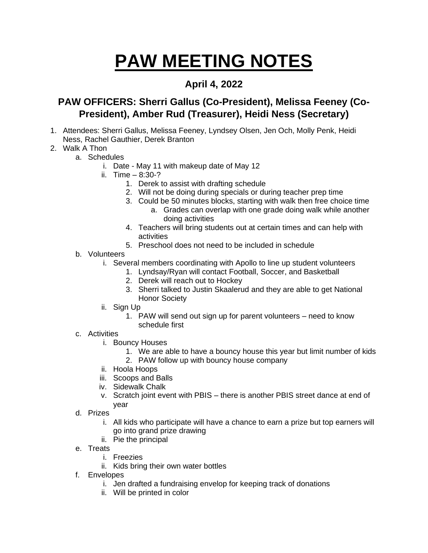## **PAW MEETING NOTES**

## **April 4, 2022**

## **PAW OFFICERS: Sherri Gallus (Co-President), Melissa Feeney (Co-President), Amber Rud (Treasurer), Heidi Ness (Secretary)**

- 1. Attendees: Sherri Gallus, Melissa Feeney, Lyndsey Olsen, Jen Och, Molly Penk, Heidi Ness, Rachel Gauthier, Derek Branton
- 2. Walk A Thon
	- a. Schedules
		- i. Date May 11 with makeup date of May 12
		- ii.  $Time 8:30-?$ 
			- 1. Derek to assist with drafting schedule
			- 2. Will not be doing during specials or during teacher prep time
			- 3. Could be 50 minutes blocks, starting with walk then free choice time
				- a. Grades can overlap with one grade doing walk while another doing activities
			- 4. Teachers will bring students out at certain times and can help with activities
			- 5. Preschool does not need to be included in schedule
	- b. Volunteers
		- i. Several members coordinating with Apollo to line up student volunteers
			- 1. Lyndsay/Ryan will contact Football, Soccer, and Basketball
			- 2. Derek will reach out to Hockey
			- 3. Sherri talked to Justin Skaalerud and they are able to get National Honor Society
		- ii. Sign Up
			- 1. PAW will send out sign up for parent volunteers need to know schedule first
	- c. Activities
		- i. Bouncy Houses
			- 1. We are able to have a bouncy house this year but limit number of kids
			- 2. PAW follow up with bouncy house company
		- ii. Hoola Hoops
		- iii. Scoops and Balls
		- iv. Sidewalk Chalk
		- v. Scratch joint event with PBIS there is another PBIS street dance at end of year
	- d. Prizes
		- i. All kids who participate will have a chance to earn a prize but top earners will go into grand prize drawing
		- ii. Pie the principal
	- e. Treats
		- i. Freezies
		- ii. Kids bring their own water bottles
	- f. Envelopes
		- i. Jen drafted a fundraising envelop for keeping track of donations
		- ii. Will be printed in color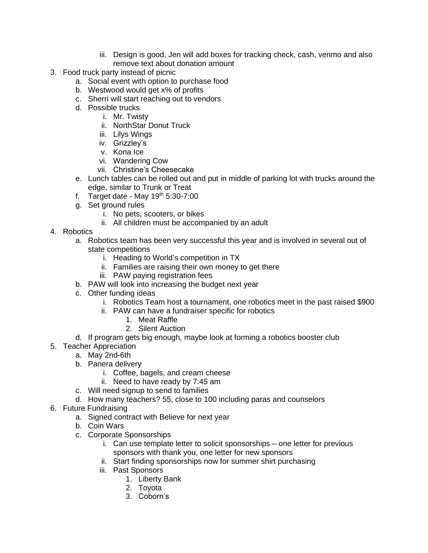- iii. Design is good, Jen will add boxes for tracking check, cash, venmo and also remove text about donation amount
- 3. Food truck party instead of picnic
	- a. Social event with option to purchase food
	- b. Westwood would get x% of profits
	- c. Sherri will start reaching out to vendors
	- d. Possible trucks
		- i. Mr. Twisty
		- ii. NorthStar Donut Truck
		- iii. Lilys Wings
		- iv. Grizzley's
		- v. Kona Ice
		- vi. Wandering Cow
		- vii. Christine's Cheesecake
	- e. Lunch tables can be rolled out and put in middle of parking lot with trucks around the edge, similar to Trunk or Treat
	- f. Target date May  $19<sup>th</sup> 5:30-7:00$
	- g. Set ground rules
		- i. No pets, scooters, or bikes
		- ii. All children must be accompanied by an adult
- 4. Robotics
	- a. Robotics team has been very successful this year and is involved in several out of state competitions
		- i. Heading to World's competition in TX
		- ii. Families are raising their own money to get there
		- iii. PAW paying registration fees
	- b. PAW will look into increasing the budget next year
	- c. Other funding ideas
		- i. Robotics Team host a tournament, one robotics meet in the past raised \$900
		- ii. PAW can have a fundraiser specific for robotics
			- 1. Meat Raffle
			- 2. Silent Auction
	- d. If program gets big enough, maybe look at forming a robotics booster club
- 5. Teacher Appreciation
	- a. May 2nd-6th
	- b. Panera delivery
		- i. Coffee, bagels, and cream cheese
		- ii. Need to have ready by 7:45 am
	- c. Will need signup to send to families
	- d. How many teachers? 55, close to 100 including paras and counselors
- 6. Future Fundraising
	- a. Signed contract with Believe for next year
	- b. Coin Wars
	- c. Corporate Sponsorships
		- i. Can use template letter to solicit sponsorships one letter for previous sponsors with thank you, one letter for new sponsors
		- ii. Start finding sponsorships now for summer shirt purchasing
		- iii. Past Sponsors
			- 1. Liberty Bank
			- 2. Toyota
			- 3. Coborn's